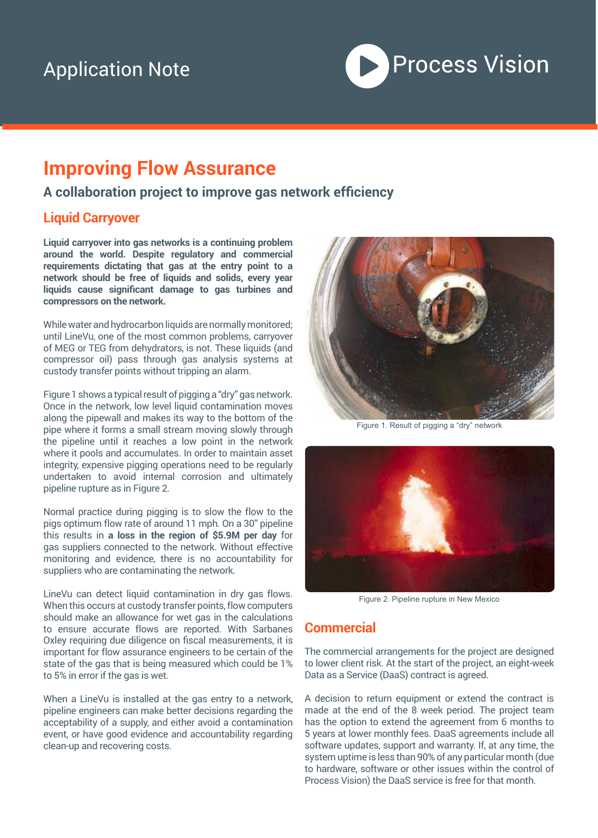## Application Note

# Process Vision

## **Improving Flow Assurance**

#### **A collaboration project to improve gas network efficiency**

#### **Liquid Carryover**

**Liquid carryover into gas networks is a continuing problem around the world. Despite regulatory and commercial requirements dictating that gas at the entry point to a network should be free of liquids and solids, every year liquids cause significant damage to gas turbines and compressors on the network.** 

While water and hydrocarbon liquids are normally monitored; until LineVu, one of the most common problems, carryover of MEG or TEG from dehydrators, is not. These liquids (and compressor oil) pass through gas analysis systems at custody transfer points without tripping an alarm.

Figure 1 shows a typical result of pigging a "dry" gas network. Once in the network, low level liquid contamination moves along the pipewall and makes its way to the bottom of the pipe where it forms a small stream moving slowly through the pipeline until it reaches a low point in the network where it pools and accumulates. In order to maintain asset integrity, expensive pigging operations need to be regularly undertaken to avoid internal corrosion and ultimately pipeline rupture as in Figure 2.

Normal practice during pigging is to slow the flow to the pigs optimum flow rate of around 11 mph. On a 30" pipeline this results in **a loss in the region of \$5.9M per day** for gas suppliers connected to the network. Without effective monitoring and evidence, there is no accountability for suppliers who are contaminating the network.

LineVu can detect liquid contamination in dry gas flows. When this occurs at custody transfer points, flow computers should make an allowance for wet gas in the calculations to ensure accurate flows are reported. With Sarbanes Oxley requiring due diligence on fiscal measurements, it is important for flow assurance engineers to be certain of the state of the gas that is being measured which could be 1% to 5% in error if the gas is wet.

When a LineVu is installed at the gas entry to a network, pipeline engineers can make better decisions regarding the acceptability of a supply, and either avoid a contamination event, or have good evidence and accountability regarding clean-up and recovering costs.



Figure 1. Result of pigging a "dry" network



Figure 2. Pipeline rupture in New Mexico

#### **Commercial**

The commercial arrangements for the project are designed to lower client risk. At the start of the project, an eight-week Data as a Service (DaaS) contract is agreed.

A decision to return equipment or extend the contract is made at the end of the 8 week period. The project team has the option to extend the agreement from 6 months to 5 years at lower monthly fees. DaaS agreements include all software updates, support and warranty. If, at any time, the system uptime is less than 90% of any particular month (due to hardware, software or other issues within the control of Process Vision) the DaaS service is free for that month.